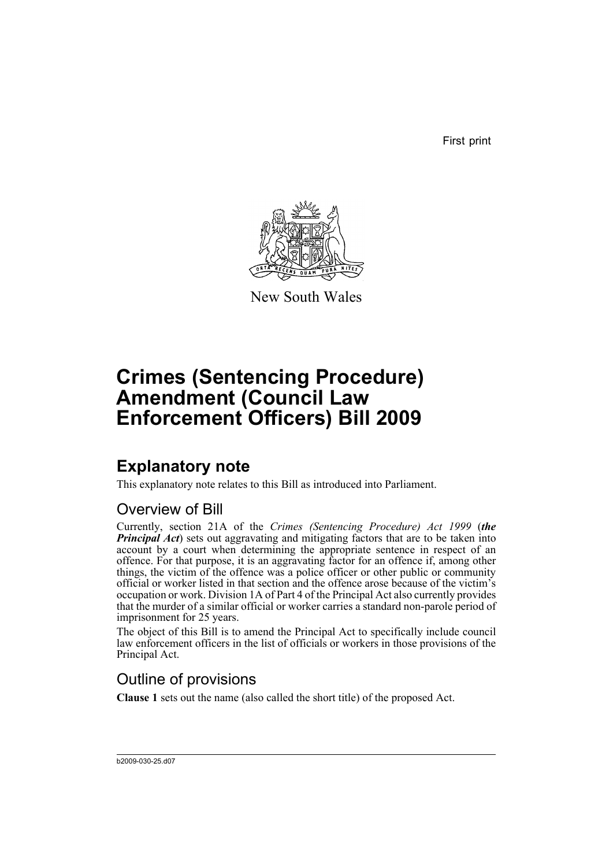First print



New South Wales

# **Crimes (Sentencing Procedure) Amendment (Council Law Enforcement Officers) Bill 2009**

## **Explanatory note**

This explanatory note relates to this Bill as introduced into Parliament.

#### Overview of Bill

Currently, section 21A of the *Crimes (Sentencing Procedure) Act 1999* (*the Principal Act*) sets out aggravating and mitigating factors that are to be taken into account by a court when determining the appropriate sentence in respect of an offence. For that purpose, it is an aggravating factor for an offence if, among other things, the victim of the offence was a police officer or other public or community official or worker listed in that section and the offence arose because of the victim's occupation or work. Division 1A of Part 4 of the Principal Act also currently provides that the murder of a similar official or worker carries a standard non-parole period of imprisonment for 25 years.

The object of this Bill is to amend the Principal Act to specifically include council law enforcement officers in the list of officials or workers in those provisions of the Principal Act.

#### Outline of provisions

**Clause 1** sets out the name (also called the short title) of the proposed Act.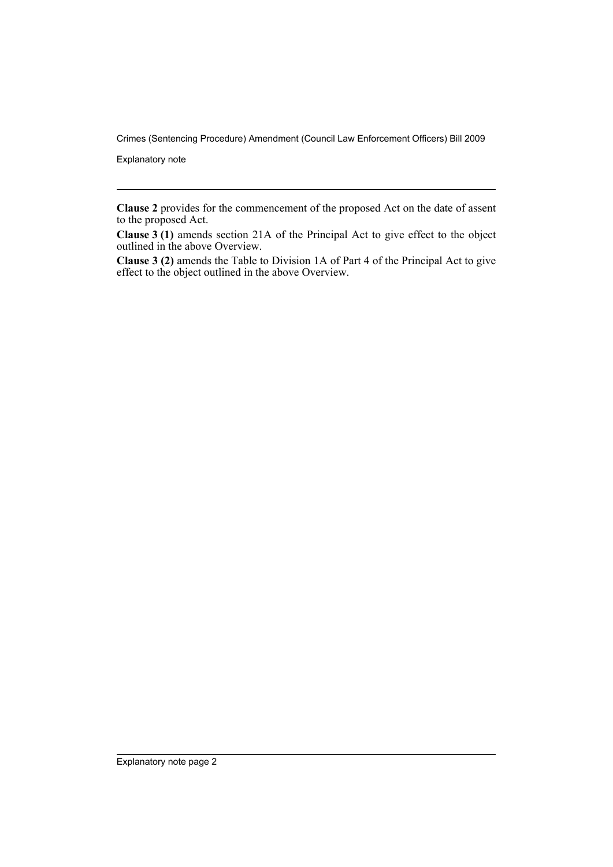Crimes (Sentencing Procedure) Amendment (Council Law Enforcement Officers) Bill 2009

Explanatory note

**Clause 2** provides for the commencement of the proposed Act on the date of assent to the proposed Act.

**Clause 3 (1)** amends section 21A of the Principal Act to give effect to the object outlined in the above Overview.

**Clause 3 (2)** amends the Table to Division 1A of Part 4 of the Principal Act to give effect to the object outlined in the above Overview.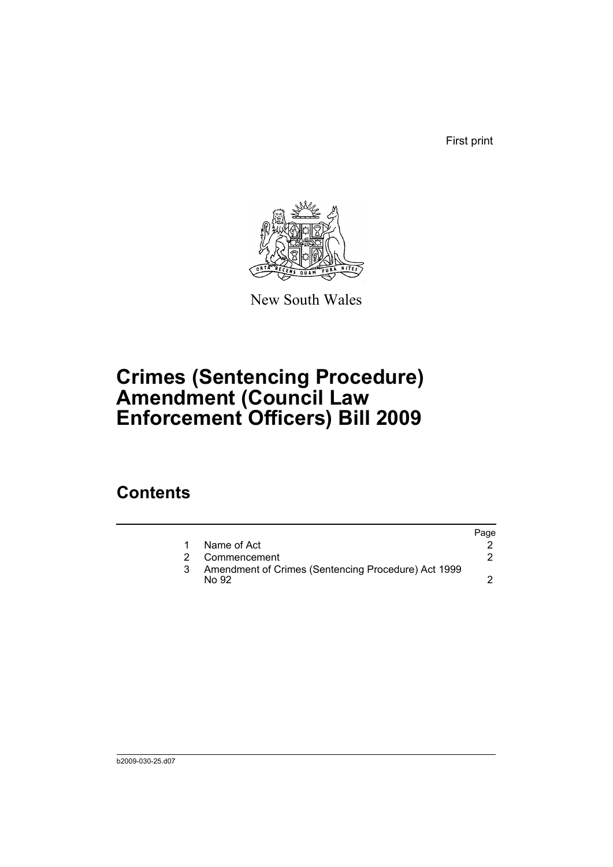First print



New South Wales

# **Crimes (Sentencing Procedure) Amendment (Council Law Enforcement Officers) Bill 2009**

### **Contents**

|               |                                                               | Page |
|---------------|---------------------------------------------------------------|------|
|               | Name of Act                                                   |      |
| $\mathcal{P}$ | Commencement                                                  |      |
|               | Amendment of Crimes (Sentencing Procedure) Act 1999<br>No 92. |      |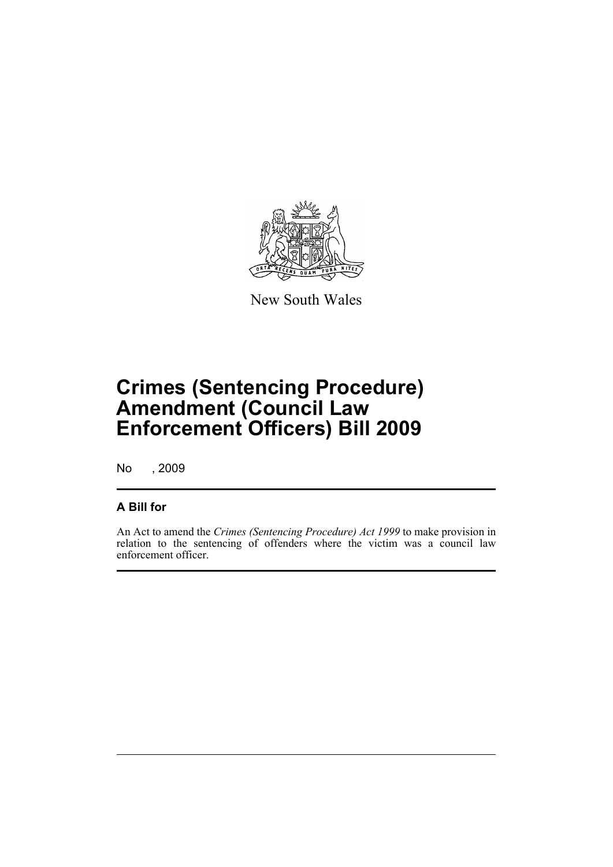

New South Wales

# **Crimes (Sentencing Procedure) Amendment (Council Law Enforcement Officers) Bill 2009**

No , 2009

#### **A Bill for**

An Act to amend the *Crimes (Sentencing Procedure) Act 1999* to make provision in relation to the sentencing of offenders where the victim was a council law enforcement officer.